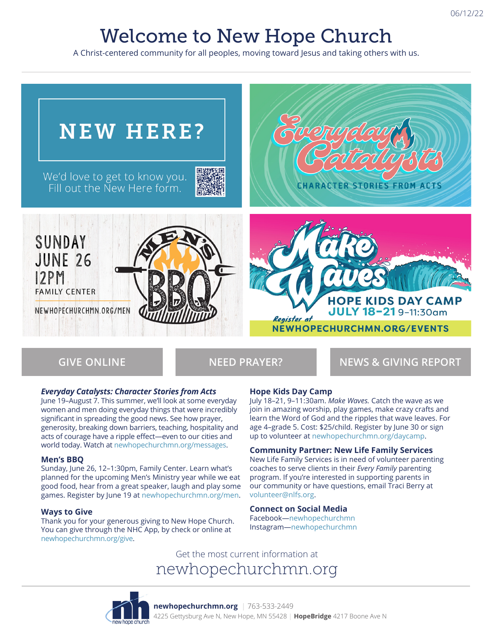# Welcome to New Hope Church

A Christ-centered community for all peoples, moving toward Jesus and taking others with us.



**GIVE ONLINE NEED PRAYER? NEWS & GIVING REPORT**

#### *Everyday Catalysts: Character Stories from Acts*

June 19–August 7. This summer, we'll look at some everyday women and men doing everyday things that were incredibly significant in spreading the good news. See how prayer, generosity, breaking down barriers, teaching, hospitality and acts of courage have a ripple effect—even to our cities and world today. Watch at newhopechurchmn.org/messages.

#### **Men's BBQ**

Sunday, June 26, 12–1:30pm, Family Center. Learn what's planned for the upcoming Men's Ministry year while we eat good food, hear from a great speaker, laugh and play some games. Register by June 19 at newhopechurchmn.org/men.

#### **Ways to Give**

Thank you for your generous giving to New Hope Church. You can give through the NHC App, by check or online at newhopechurchmn.org/give.

#### **Hope Kids Day Camp**

July 18–21, 9–11:30am. *Make Waves.* Catch the wave as we join in amazing worship, play games, make crazy crafts and learn the Word of God and the ripples that wave leaves. For age 4–grade 5. Cost: \$25/child. Register by June 30 or sign up to volunteer at newhopechurchmn.org/daycamp.

**Community Partner: New Life Family Services** New Life Family Services is in need of volunteer parenting coaches to serve clients in their *Every Family* parenting program. If you're interested in supporting parents in our community or have questions, email Traci Berry at volunteer@nlfs.org.

#### **Connect on Social Media**

Facebook—newhopechurchmn Instagram—newhopechurchmn

Get the most current information at newhopechurchmn.org